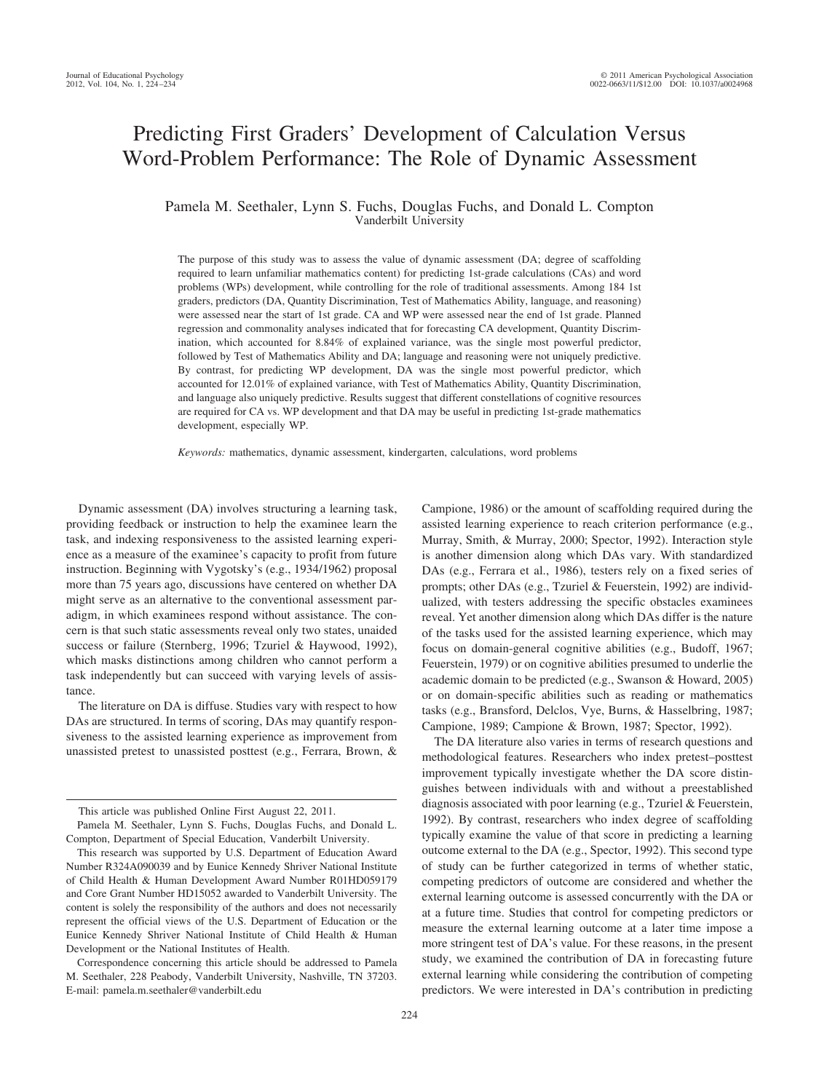# Predicting First Graders' Development of Calculation Versus Word-Problem Performance: The Role of Dynamic Assessment

## Pamela M. Seethaler, Lynn S. Fuchs, Douglas Fuchs, and Donald L. Compton Vanderbilt University

The purpose of this study was to assess the value of dynamic assessment (DA; degree of scaffolding required to learn unfamiliar mathematics content) for predicting 1st-grade calculations (CAs) and word problems (WPs) development, while controlling for the role of traditional assessments. Among 184 1st graders, predictors (DA, Quantity Discrimination, Test of Mathematics Ability, language, and reasoning) were assessed near the start of 1st grade. CA and WP were assessed near the end of 1st grade. Planned regression and commonality analyses indicated that for forecasting CA development, Quantity Discrimination, which accounted for 8.84% of explained variance, was the single most powerful predictor, followed by Test of Mathematics Ability and DA; language and reasoning were not uniquely predictive. By contrast, for predicting WP development, DA was the single most powerful predictor, which accounted for 12.01% of explained variance, with Test of Mathematics Ability, Quantity Discrimination, and language also uniquely predictive. Results suggest that different constellations of cognitive resources are required for CA vs. WP development and that DA may be useful in predicting 1st-grade mathematics development, especially WP.

*Keywords:* mathematics, dynamic assessment, kindergarten, calculations, word problems

Dynamic assessment (DA) involves structuring a learning task, providing feedback or instruction to help the examinee learn the task, and indexing responsiveness to the assisted learning experience as a measure of the examinee's capacity to profit from future instruction. Beginning with Vygotsky's (e.g., 1934/1962) proposal more than 75 years ago, discussions have centered on whether DA might serve as an alternative to the conventional assessment paradigm, in which examinees respond without assistance. The concern is that such static assessments reveal only two states, unaided success or failure (Sternberg, 1996; Tzuriel & Haywood, 1992), which masks distinctions among children who cannot perform a task independently but can succeed with varying levels of assistance.

The literature on DA is diffuse. Studies vary with respect to how DAs are structured. In terms of scoring, DAs may quantify responsiveness to the assisted learning experience as improvement from unassisted pretest to unassisted posttest (e.g., Ferrara, Brown, &

Campione, 1986) or the amount of scaffolding required during the assisted learning experience to reach criterion performance (e.g., Murray, Smith, & Murray, 2000; Spector, 1992). Interaction style is another dimension along which DAs vary. With standardized DAs (e.g., Ferrara et al., 1986), testers rely on a fixed series of prompts; other DAs (e.g., Tzuriel & Feuerstein, 1992) are individualized, with testers addressing the specific obstacles examinees reveal. Yet another dimension along which DAs differ is the nature of the tasks used for the assisted learning experience, which may focus on domain-general cognitive abilities (e.g., Budoff, 1967; Feuerstein, 1979) or on cognitive abilities presumed to underlie the academic domain to be predicted (e.g., Swanson & Howard, 2005) or on domain-specific abilities such as reading or mathematics tasks (e.g., Bransford, Delclos, Vye, Burns, & Hasselbring, 1987; Campione, 1989; Campione & Brown, 1987; Spector, 1992).

The DA literature also varies in terms of research questions and methodological features. Researchers who index pretest–posttest improvement typically investigate whether the DA score distinguishes between individuals with and without a preestablished diagnosis associated with poor learning (e.g., Tzuriel & Feuerstein, 1992). By contrast, researchers who index degree of scaffolding typically examine the value of that score in predicting a learning outcome external to the DA (e.g., Spector, 1992). This second type of study can be further categorized in terms of whether static, competing predictors of outcome are considered and whether the external learning outcome is assessed concurrently with the DA or at a future time. Studies that control for competing predictors or measure the external learning outcome at a later time impose a more stringent test of DA's value. For these reasons, in the present study, we examined the contribution of DA in forecasting future external learning while considering the contribution of competing predictors. We were interested in DA's contribution in predicting

This article was published Online First August 22, 2011.

Pamela M. Seethaler, Lynn S. Fuchs, Douglas Fuchs, and Donald L. Compton, Department of Special Education, Vanderbilt University.

This research was supported by U.S. Department of Education Award Number R324A090039 and by Eunice Kennedy Shriver National Institute of Child Health & Human Development Award Number R01HD059179 and Core Grant Number HD15052 awarded to Vanderbilt University. The content is solely the responsibility of the authors and does not necessarily represent the official views of the U.S. Department of Education or the Eunice Kennedy Shriver National Institute of Child Health & Human Development or the National Institutes of Health.

Correspondence concerning this article should be addressed to Pamela M. Seethaler, 228 Peabody, Vanderbilt University, Nashville, TN 37203. E-mail: pamela.m.seethaler@vanderbilt.edu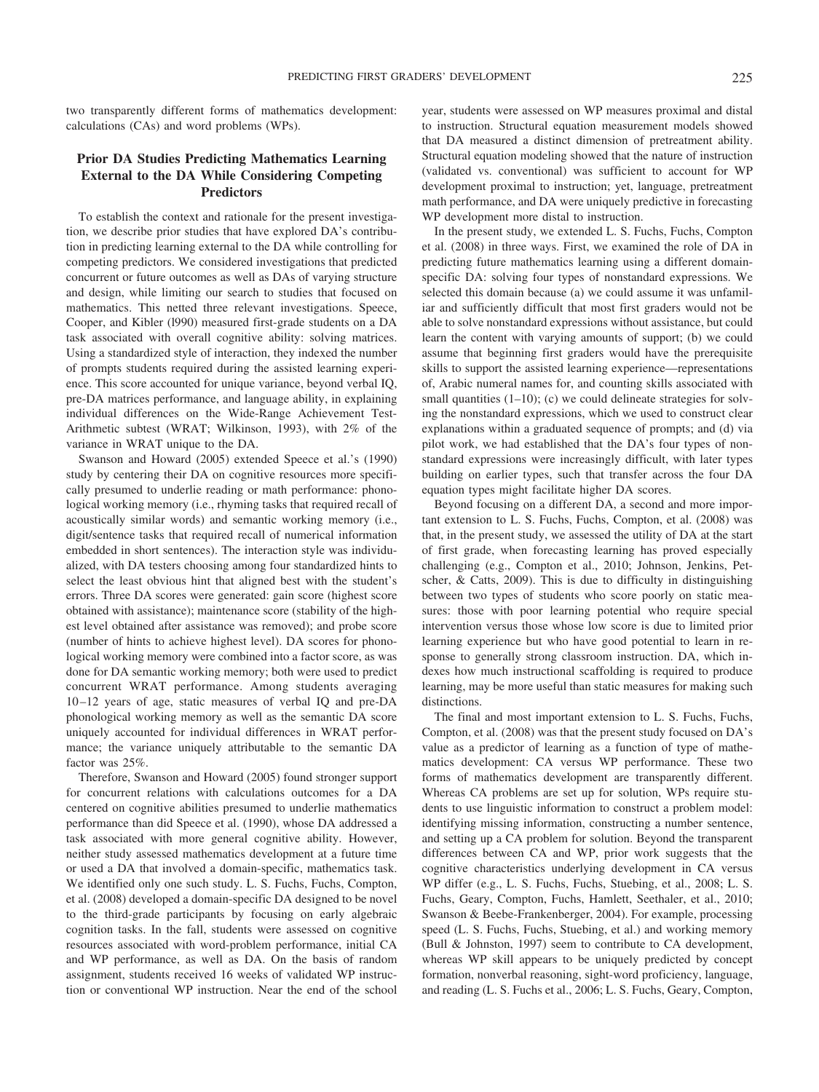two transparently different forms of mathematics development: calculations (CAs) and word problems (WPs).

## **Prior DA Studies Predicting Mathematics Learning External to the DA While Considering Competing Predictors**

To establish the context and rationale for the present investigation, we describe prior studies that have explored DA's contribution in predicting learning external to the DA while controlling for competing predictors. We considered investigations that predicted concurrent or future outcomes as well as DAs of varying structure and design, while limiting our search to studies that focused on mathematics. This netted three relevant investigations. Speece, Cooper, and Kibler (l990) measured first-grade students on a DA task associated with overall cognitive ability: solving matrices. Using a standardized style of interaction, they indexed the number of prompts students required during the assisted learning experience. This score accounted for unique variance, beyond verbal IQ, pre-DA matrices performance, and language ability, in explaining individual differences on the Wide-Range Achievement Test-Arithmetic subtest (WRAT; Wilkinson, 1993), with 2% of the variance in WRAT unique to the DA.

Swanson and Howard (2005) extended Speece et al.'s (1990) study by centering their DA on cognitive resources more specifically presumed to underlie reading or math performance: phonological working memory (i.e., rhyming tasks that required recall of acoustically similar words) and semantic working memory (i.e., digit/sentence tasks that required recall of numerical information embedded in short sentences). The interaction style was individualized, with DA testers choosing among four standardized hints to select the least obvious hint that aligned best with the student's errors. Three DA scores were generated: gain score (highest score obtained with assistance); maintenance score (stability of the highest level obtained after assistance was removed); and probe score (number of hints to achieve highest level). DA scores for phonological working memory were combined into a factor score, as was done for DA semantic working memory; both were used to predict concurrent WRAT performance. Among students averaging 10 –12 years of age, static measures of verbal IQ and pre-DA phonological working memory as well as the semantic DA score uniquely accounted for individual differences in WRAT performance; the variance uniquely attributable to the semantic DA factor was 25%.

Therefore, Swanson and Howard (2005) found stronger support for concurrent relations with calculations outcomes for a DA centered on cognitive abilities presumed to underlie mathematics performance than did Speece et al. (1990), whose DA addressed a task associated with more general cognitive ability. However, neither study assessed mathematics development at a future time or used a DA that involved a domain-specific, mathematics task. We identified only one such study. L. S. Fuchs, Fuchs, Compton, et al. (2008) developed a domain-specific DA designed to be novel to the third-grade participants by focusing on early algebraic cognition tasks. In the fall, students were assessed on cognitive resources associated with word-problem performance, initial CA and WP performance, as well as DA. On the basis of random assignment, students received 16 weeks of validated WP instruction or conventional WP instruction. Near the end of the school

year, students were assessed on WP measures proximal and distal to instruction. Structural equation measurement models showed that DA measured a distinct dimension of pretreatment ability. Structural equation modeling showed that the nature of instruction (validated vs. conventional) was sufficient to account for WP development proximal to instruction; yet, language, pretreatment math performance, and DA were uniquely predictive in forecasting WP development more distal to instruction.

In the present study, we extended L. S. Fuchs, Fuchs, Compton et al. (2008) in three ways. First, we examined the role of DA in predicting future mathematics learning using a different domainspecific DA: solving four types of nonstandard expressions. We selected this domain because (a) we could assume it was unfamiliar and sufficiently difficult that most first graders would not be able to solve nonstandard expressions without assistance, but could learn the content with varying amounts of support; (b) we could assume that beginning first graders would have the prerequisite skills to support the assisted learning experience—representations of, Arabic numeral names for, and counting skills associated with small quantities  $(1-10)$ ; (c) we could delineate strategies for solving the nonstandard expressions, which we used to construct clear explanations within a graduated sequence of prompts; and (d) via pilot work, we had established that the DA's four types of nonstandard expressions were increasingly difficult, with later types building on earlier types, such that transfer across the four DA equation types might facilitate higher DA scores.

Beyond focusing on a different DA, a second and more important extension to L. S. Fuchs, Fuchs, Compton, et al. (2008) was that, in the present study, we assessed the utility of DA at the start of first grade, when forecasting learning has proved especially challenging (e.g., Compton et al., 2010; Johnson, Jenkins, Petscher, & Catts, 2009). This is due to difficulty in distinguishing between two types of students who score poorly on static measures: those with poor learning potential who require special intervention versus those whose low score is due to limited prior learning experience but who have good potential to learn in response to generally strong classroom instruction. DA, which indexes how much instructional scaffolding is required to produce learning, may be more useful than static measures for making such distinctions.

The final and most important extension to L. S. Fuchs, Fuchs, Compton, et al. (2008) was that the present study focused on DA's value as a predictor of learning as a function of type of mathematics development: CA versus WP performance. These two forms of mathematics development are transparently different. Whereas CA problems are set up for solution, WPs require students to use linguistic information to construct a problem model: identifying missing information, constructing a number sentence, and setting up a CA problem for solution. Beyond the transparent differences between CA and WP, prior work suggests that the cognitive characteristics underlying development in CA versus WP differ (e.g., L. S. Fuchs, Fuchs, Stuebing, et al., 2008; L. S. Fuchs, Geary, Compton, Fuchs, Hamlett, Seethaler, et al., 2010; Swanson & Beebe-Frankenberger, 2004). For example, processing speed (L. S. Fuchs, Fuchs, Stuebing, et al.) and working memory (Bull & Johnston, 1997) seem to contribute to CA development, whereas WP skill appears to be uniquely predicted by concept formation, nonverbal reasoning, sight-word proficiency, language, and reading (L. S. Fuchs et al., 2006; L. S. Fuchs, Geary, Compton,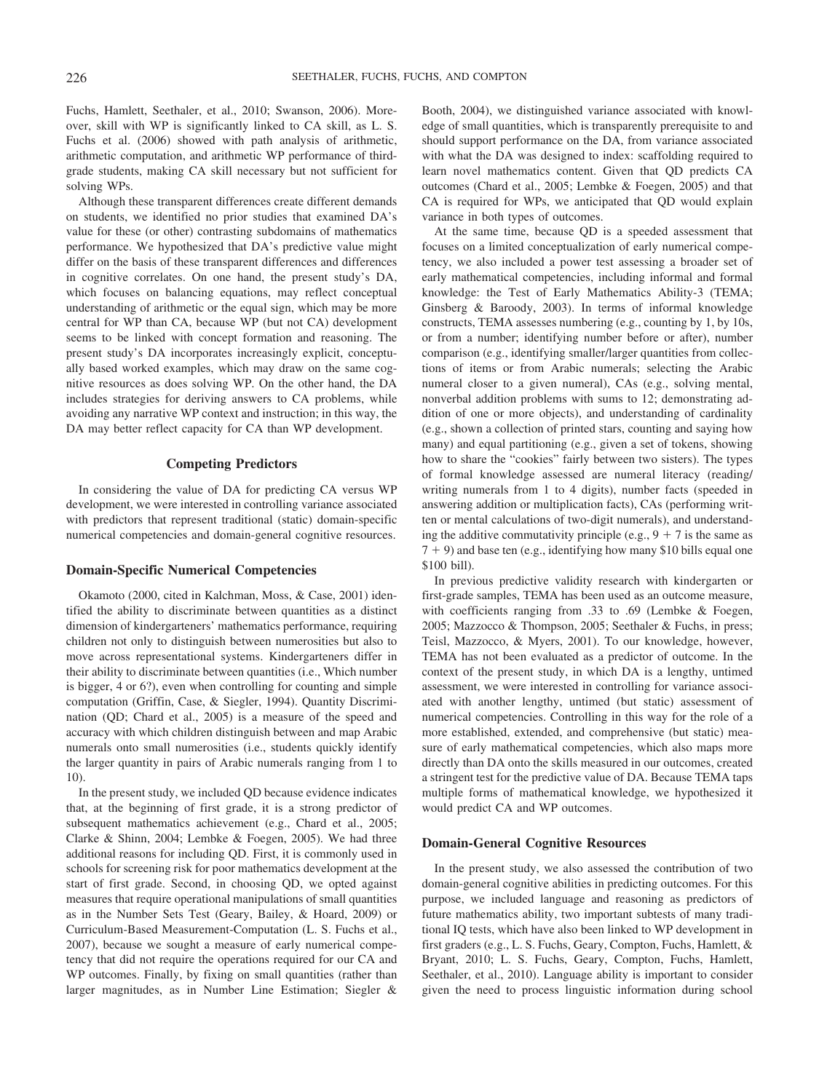Fuchs, Hamlett, Seethaler, et al., 2010; Swanson, 2006). Moreover, skill with WP is significantly linked to CA skill, as L. S. Fuchs et al. (2006) showed with path analysis of arithmetic, arithmetic computation, and arithmetic WP performance of thirdgrade students, making CA skill necessary but not sufficient for solving WPs.

Although these transparent differences create different demands on students, we identified no prior studies that examined DA's value for these (or other) contrasting subdomains of mathematics performance. We hypothesized that DA's predictive value might differ on the basis of these transparent differences and differences in cognitive correlates. On one hand, the present study's DA, which focuses on balancing equations, may reflect conceptual understanding of arithmetic or the equal sign, which may be more central for WP than CA, because WP (but not CA) development seems to be linked with concept formation and reasoning. The present study's DA incorporates increasingly explicit, conceptually based worked examples, which may draw on the same cognitive resources as does solving WP. On the other hand, the DA includes strategies for deriving answers to CA problems, while avoiding any narrative WP context and instruction; in this way, the DA may better reflect capacity for CA than WP development.

## **Competing Predictors**

In considering the value of DA for predicting CA versus WP development, we were interested in controlling variance associated with predictors that represent traditional (static) domain-specific numerical competencies and domain-general cognitive resources.

#### **Domain-Specific Numerical Competencies**

Okamoto (2000, cited in Kalchman, Moss, & Case, 2001) identified the ability to discriminate between quantities as a distinct dimension of kindergarteners' mathematics performance, requiring children not only to distinguish between numerosities but also to move across representational systems. Kindergarteners differ in their ability to discriminate between quantities (i.e., Which number is bigger, 4 or 6?), even when controlling for counting and simple computation (Griffin, Case, & Siegler, 1994). Quantity Discrimination (QD; Chard et al., 2005) is a measure of the speed and accuracy with which children distinguish between and map Arabic numerals onto small numerosities (i.e., students quickly identify the larger quantity in pairs of Arabic numerals ranging from 1 to 10).

In the present study, we included QD because evidence indicates that, at the beginning of first grade, it is a strong predictor of subsequent mathematics achievement (e.g., Chard et al., 2005; Clarke & Shinn, 2004; Lembke & Foegen, 2005). We had three additional reasons for including QD. First, it is commonly used in schools for screening risk for poor mathematics development at the start of first grade. Second, in choosing QD, we opted against measures that require operational manipulations of small quantities as in the Number Sets Test (Geary, Bailey, & Hoard, 2009) or Curriculum-Based Measurement-Computation (L. S. Fuchs et al., 2007), because we sought a measure of early numerical competency that did not require the operations required for our CA and WP outcomes. Finally, by fixing on small quantities (rather than larger magnitudes, as in Number Line Estimation; Siegler &

Booth, 2004), we distinguished variance associated with knowledge of small quantities, which is transparently prerequisite to and should support performance on the DA, from variance associated with what the DA was designed to index: scaffolding required to learn novel mathematics content. Given that QD predicts CA outcomes (Chard et al., 2005; Lembke & Foegen, 2005) and that CA is required for WPs, we anticipated that QD would explain variance in both types of outcomes.

At the same time, because QD is a speeded assessment that focuses on a limited conceptualization of early numerical competency, we also included a power test assessing a broader set of early mathematical competencies, including informal and formal knowledge: the Test of Early Mathematics Ability-3 (TEMA; Ginsberg & Baroody, 2003). In terms of informal knowledge constructs, TEMA assesses numbering (e.g., counting by 1, by 10s, or from a number; identifying number before or after), number comparison (e.g., identifying smaller/larger quantities from collections of items or from Arabic numerals; selecting the Arabic numeral closer to a given numeral), CAs (e.g., solving mental, nonverbal addition problems with sums to 12; demonstrating addition of one or more objects), and understanding of cardinality (e.g., shown a collection of printed stars, counting and saying how many) and equal partitioning (e.g., given a set of tokens, showing how to share the "cookies" fairly between two sisters). The types of formal knowledge assessed are numeral literacy (reading/ writing numerals from 1 to 4 digits), number facts (speeded in answering addition or multiplication facts), CAs (performing written or mental calculations of two-digit numerals), and understanding the additive commutativity principle (e.g.,  $9 + 7$  is the same as  $7 + 9$ ) and base ten (e.g., identifying how many \$10 bills equal one \$100 bill).

In previous predictive validity research with kindergarten or first-grade samples, TEMA has been used as an outcome measure, with coefficients ranging from .33 to .69 (Lembke & Foegen, 2005; Mazzocco & Thompson, 2005; Seethaler & Fuchs, in press; Teisl, Mazzocco, & Myers, 2001). To our knowledge, however, TEMA has not been evaluated as a predictor of outcome. In the context of the present study, in which DA is a lengthy, untimed assessment, we were interested in controlling for variance associated with another lengthy, untimed (but static) assessment of numerical competencies. Controlling in this way for the role of a more established, extended, and comprehensive (but static) measure of early mathematical competencies, which also maps more directly than DA onto the skills measured in our outcomes, created a stringent test for the predictive value of DA. Because TEMA taps multiple forms of mathematical knowledge, we hypothesized it would predict CA and WP outcomes.

### **Domain-General Cognitive Resources**

In the present study, we also assessed the contribution of two domain-general cognitive abilities in predicting outcomes. For this purpose, we included language and reasoning as predictors of future mathematics ability, two important subtests of many traditional IQ tests, which have also been linked to WP development in first graders (e.g., L. S. Fuchs, Geary, Compton, Fuchs, Hamlett, & Bryant, 2010; L. S. Fuchs, Geary, Compton, Fuchs, Hamlett, Seethaler, et al., 2010). Language ability is important to consider given the need to process linguistic information during school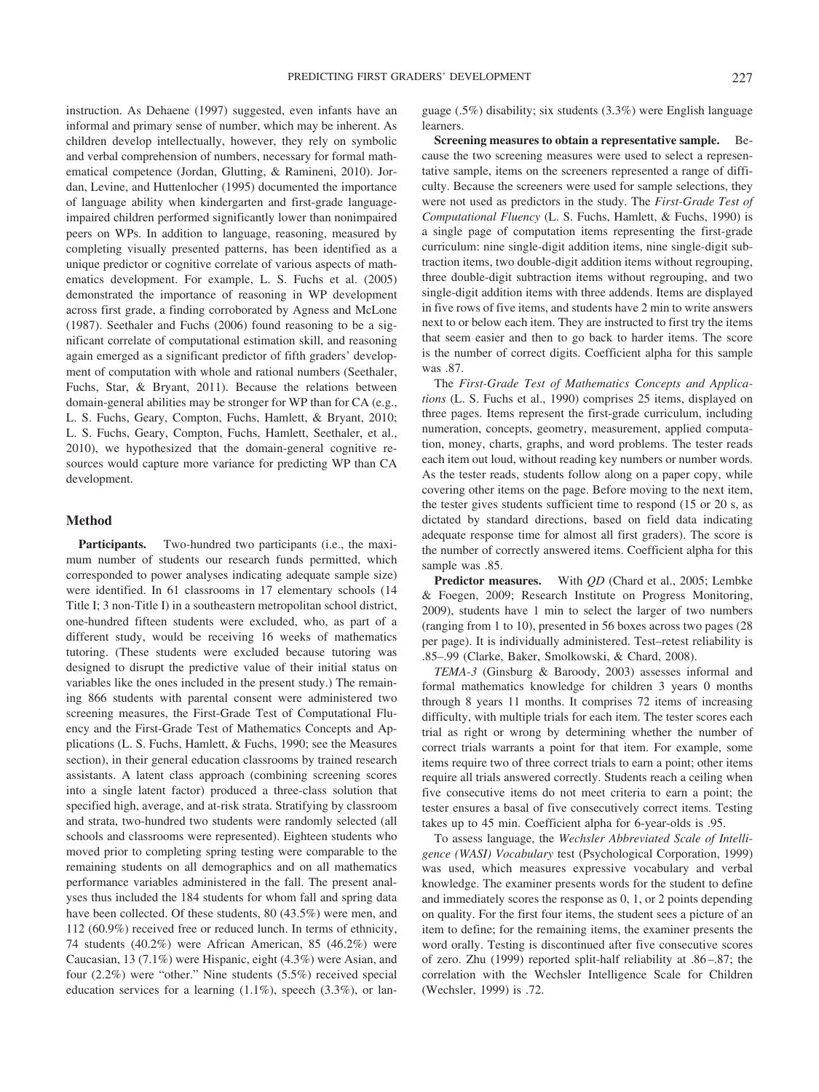instruction. As Dehaene (1997) suggested, even infants have an informal and primary sense of number, which may be inherent. As children develop intellectually, however, they rely on symbolic and verbal comprehension of numbers, necessary for formal mathematical competence (Jordan, Glutting, & Ramineni, 2010). Jordan, Levine, and Huttenlocher (1995) documented the importance of language ability when kindergarten and first-grade languageimpaired children performed significantly lower than nonimpaired peers on WPs. In addition to language, reasoning, measured by completing visually presented patterns, has been identified as a unique predictor or cognitive correlate of various aspects of mathematics development. For example, L. S. Fuchs et al. (2005) demonstrated the importance of reasoning in WP development across first grade, a finding corroborated by Agness and McLone (1987). Seethaler and Fuchs (2006) found reasoning to be a significant correlate of computational estimation skill, and reasoning again emerged as a significant predictor of fifth graders' development of computation with whole and rational numbers (Seethaler, Fuchs, Star, & Bryant, 2011). Because the relations between domain-general abilities may be stronger for WP than for CA (e.g., L. S. Fuchs, Geary, Compton, Fuchs, Hamlett, & Bryant, 2010; L. S. Fuchs, Geary, Compton, Fuchs, Hamlett, Seethaler, et al., 2010), we hypothesized that the domain-general cognitive resources would capture more variance for predicting WP than CA development.

## **Method**

Participants. Two-hundred two participants (i.e., the maximum number of students our research funds permitted, which corresponded to power analyses indicating adequate sample size) were identified. In 61 classrooms in 17 elementary schools (14 Title I; 3 non-Title I) in a southeastern metropolitan school district, one-hundred fifteen students were excluded, who, as part of a different study, would be receiving 16 weeks of mathematics tutoring. (These students were excluded because tutoring was designed to disrupt the predictive value of their initial status on variables like the ones included in the present study.) The remaining 866 students with parental consent were administered two screening measures, the First-Grade Test of Computational Fluency and the First-Grade Test of Mathematics Concepts and Applications (L. S. Fuchs, Hamlett, & Fuchs, 1990; see the Measures section), in their general education classrooms by trained research assistants. A latent class approach (combining screening scores into a single latent factor) produced a three-class solution that specified high, average, and at-risk strata. Stratifying by classroom and strata, two-hundred two students were randomly selected (all schools and classrooms were represented). Eighteen students who moved prior to completing spring testing were comparable to the remaining students on all demographics and on all mathematics performance variables administered in the fall. The present analyses thus included the 184 students for whom fall and spring data have been collected. Of these students, 80 (43.5%) were men, and 112 (60.9%) received free or reduced lunch. In terms of ethnicity, 74 students (40.2%) were African American, 85 (46.2%) were Caucasian, 13 (7.1%) were Hispanic, eight (4.3%) were Asian, and four (2.2%) were "other." Nine students (5.5%) received special education services for a learning  $(1.1\%)$ , speech  $(3.3\%)$ , or lan-

guage (.5%) disability; six students (3.3%) were English language learners.

**Screening measures to obtain a representative sample.** Because the two screening measures were used to select a representative sample, items on the screeners represented a range of difficulty. Because the screeners were used for sample selections, they were not used as predictors in the study. The *First-Grade Test of Computational Fluency* (L. S. Fuchs, Hamlett, & Fuchs, 1990) is a single page of computation items representing the first-grade curriculum: nine single-digit addition items, nine single-digit subtraction items, two double-digit addition items without regrouping, three double-digit subtraction items without regrouping, and two single-digit addition items with three addends. Items are displayed in five rows of five items, and students have 2 min to write answers next to or below each item. They are instructed to first try the items that seem easier and then to go back to harder items. The score is the number of correct digits. Coefficient alpha for this sample was .87.

The *First-Grade Test of Mathematics Concepts and Applications* (L. S. Fuchs et al., 1990) comprises 25 items, displayed on three pages. Items represent the first-grade curriculum, including numeration, concepts, geometry, measurement, applied computation, money, charts, graphs, and word problems. The tester reads each item out loud, without reading key numbers or number words. As the tester reads, students follow along on a paper copy, while covering other items on the page. Before moving to the next item, the tester gives students sufficient time to respond (15 or 20 s, as dictated by standard directions, based on field data indicating adequate response time for almost all first graders). The score is the number of correctly answered items. Coefficient alpha for this sample was .85.

**Predictor measures.** With *QD* (Chard et al., 2005; Lembke & Foegen, 2009; Research Institute on Progress Monitoring, 2009), students have 1 min to select the larger of two numbers (ranging from 1 to 10), presented in 56 boxes across two pages (28 per page). It is individually administered. Test–retest reliability is .85–.99 (Clarke, Baker, Smolkowski, & Chard, 2008).

*TEMA-3* (Ginsburg & Baroody, 2003) assesses informal and formal mathematics knowledge for children 3 years 0 months through 8 years 11 months. It comprises 72 items of increasing difficulty, with multiple trials for each item. The tester scores each trial as right or wrong by determining whether the number of correct trials warrants a point for that item. For example, some items require two of three correct trials to earn a point; other items require all trials answered correctly. Students reach a ceiling when five consecutive items do not meet criteria to earn a point; the tester ensures a basal of five consecutively correct items. Testing takes up to 45 min. Coefficient alpha for 6-year-olds is .95.

To assess language, the *Wechsler Abbreviated Scale of Intelligence (WASI) Vocabulary* test (Psychological Corporation, 1999) was used, which measures expressive vocabulary and verbal knowledge. The examiner presents words for the student to define and immediately scores the response as 0, 1, or 2 points depending on quality. For the first four items, the student sees a picture of an item to define; for the remaining items, the examiner presents the word orally. Testing is discontinued after five consecutive scores of zero. Zhu (1999) reported split-half reliability at .86 –.87; the correlation with the Wechsler Intelligence Scale for Children (Wechsler, 1999) is .72.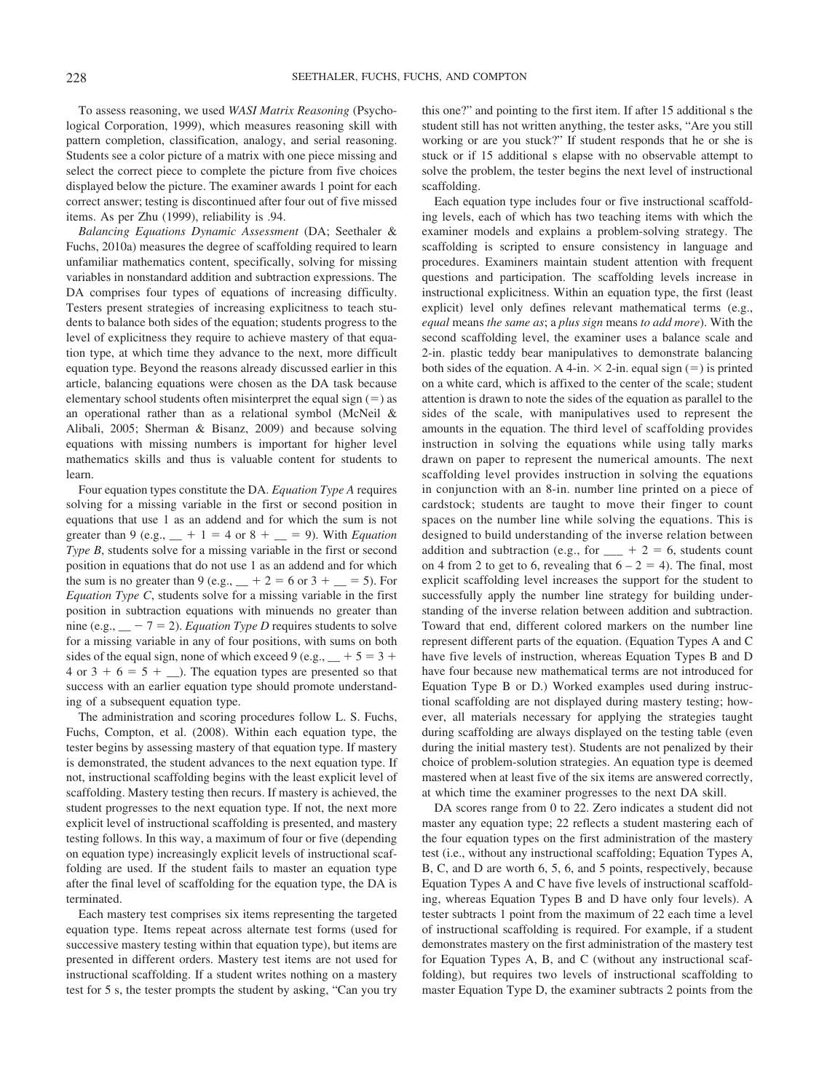To assess reasoning, we used *WASI Matrix Reasoning* (Psychological Corporation, 1999), which measures reasoning skill with pattern completion, classification, analogy, and serial reasoning. Students see a color picture of a matrix with one piece missing and select the correct piece to complete the picture from five choices displayed below the picture. The examiner awards 1 point for each correct answer; testing is discontinued after four out of five missed items. As per Zhu (1999), reliability is .94.

*Balancing Equations Dynamic Assessment* (DA; Seethaler & Fuchs, 2010a) measures the degree of scaffolding required to learn unfamiliar mathematics content, specifically, solving for missing variables in nonstandard addition and subtraction expressions. The DA comprises four types of equations of increasing difficulty. Testers present strategies of increasing explicitness to teach students to balance both sides of the equation; students progress to the level of explicitness they require to achieve mastery of that equation type, at which time they advance to the next, more difficult equation type. Beyond the reasons already discussed earlier in this article, balancing equations were chosen as the DA task because elementary school students often misinterpret the equal sign  $(=)$  as an operational rather than as a relational symbol (McNeil & Alibali, 2005; Sherman & Bisanz, 2009) and because solving equations with missing numbers is important for higher level mathematics skills and thus is valuable content for students to learn.

Four equation types constitute the DA. *Equation Type A* requires solving for a missing variable in the first or second position in equations that use 1 as an addend and for which the sum is not greater than 9 (e.g.,  $\_\_ + 1 = 4$  or  $8 + \_\_ = 9$ ). With *Equation Type B*, students solve for a missing variable in the first or second position in equations that do not use 1 as an addend and for which the sum is no greater than 9 (e.g.,  $\_\_ + 2 = 6$  or  $3 + \_\_ = 5$ ). For *Equation Type C*, students solve for a missing variable in the first position in subtraction equations with minuends no greater than nine (e.g.,  $\frac{1}{2} - 7 = 2$ ). *Equation Type D* requires students to solve for a missing variable in any of four positions, with sums on both sides of the equal sign, none of which exceed 9 (e.g.,  $\_\_ + 5 = 3 + 1$ ) 4 or  $3 + 6 = 5 + \dots$ ). The equation types are presented so that success with an earlier equation type should promote understanding of a subsequent equation type.

The administration and scoring procedures follow L. S. Fuchs, Fuchs, Compton, et al. (2008). Within each equation type, the tester begins by assessing mastery of that equation type. If mastery is demonstrated, the student advances to the next equation type. If not, instructional scaffolding begins with the least explicit level of scaffolding. Mastery testing then recurs. If mastery is achieved, the student progresses to the next equation type. If not, the next more explicit level of instructional scaffolding is presented, and mastery testing follows. In this way, a maximum of four or five (depending on equation type) increasingly explicit levels of instructional scaffolding are used. If the student fails to master an equation type after the final level of scaffolding for the equation type, the DA is terminated.

Each mastery test comprises six items representing the targeted equation type. Items repeat across alternate test forms (used for successive mastery testing within that equation type), but items are presented in different orders. Mastery test items are not used for instructional scaffolding. If a student writes nothing on a mastery test for 5 s, the tester prompts the student by asking, "Can you try

this one?" and pointing to the first item. If after 15 additional s the student still has not written anything, the tester asks, "Are you still working or are you stuck?" If student responds that he or she is stuck or if 15 additional s elapse with no observable attempt to solve the problem, the tester begins the next level of instructional scaffolding.

Each equation type includes four or five instructional scaffolding levels, each of which has two teaching items with which the examiner models and explains a problem-solving strategy. The scaffolding is scripted to ensure consistency in language and procedures. Examiners maintain student attention with frequent questions and participation. The scaffolding levels increase in instructional explicitness. Within an equation type, the first (least explicit) level only defines relevant mathematical terms (e.g., *equal* means *the same as*; a *plus sign* means *to add more*). With the second scaffolding level, the examiner uses a balance scale and 2-in. plastic teddy bear manipulatives to demonstrate balancing both sides of the equation. A 4-in.  $\times$  2-in. equal sign (=) is printed on a white card, which is affixed to the center of the scale; student attention is drawn to note the sides of the equation as parallel to the sides of the scale, with manipulatives used to represent the amounts in the equation. The third level of scaffolding provides instruction in solving the equations while using tally marks drawn on paper to represent the numerical amounts. The next scaffolding level provides instruction in solving the equations in conjunction with an 8-in. number line printed on a piece of cardstock; students are taught to move their finger to count spaces on the number line while solving the equations. This is designed to build understanding of the inverse relation between addition and subtraction (e.g., for  $\frac{1}{2} + 2 = 6$ , students count on 4 from 2 to get to 6, revealing that  $6 - 2 = 4$ ). The final, most explicit scaffolding level increases the support for the student to successfully apply the number line strategy for building understanding of the inverse relation between addition and subtraction. Toward that end, different colored markers on the number line represent different parts of the equation. (Equation Types A and C have five levels of instruction, whereas Equation Types B and D have four because new mathematical terms are not introduced for Equation Type B or D.) Worked examples used during instructional scaffolding are not displayed during mastery testing; however, all materials necessary for applying the strategies taught during scaffolding are always displayed on the testing table (even during the initial mastery test). Students are not penalized by their choice of problem-solution strategies. An equation type is deemed mastered when at least five of the six items are answered correctly, at which time the examiner progresses to the next DA skill.

DA scores range from 0 to 22. Zero indicates a student did not master any equation type; 22 reflects a student mastering each of the four equation types on the first administration of the mastery test (i.e., without any instructional scaffolding; Equation Types A, B, C, and D are worth 6, 5, 6, and 5 points, respectively, because Equation Types A and C have five levels of instructional scaffolding, whereas Equation Types B and D have only four levels). A tester subtracts 1 point from the maximum of 22 each time a level of instructional scaffolding is required. For example, if a student demonstrates mastery on the first administration of the mastery test for Equation Types A, B, and C (without any instructional scaffolding), but requires two levels of instructional scaffolding to master Equation Type D, the examiner subtracts 2 points from the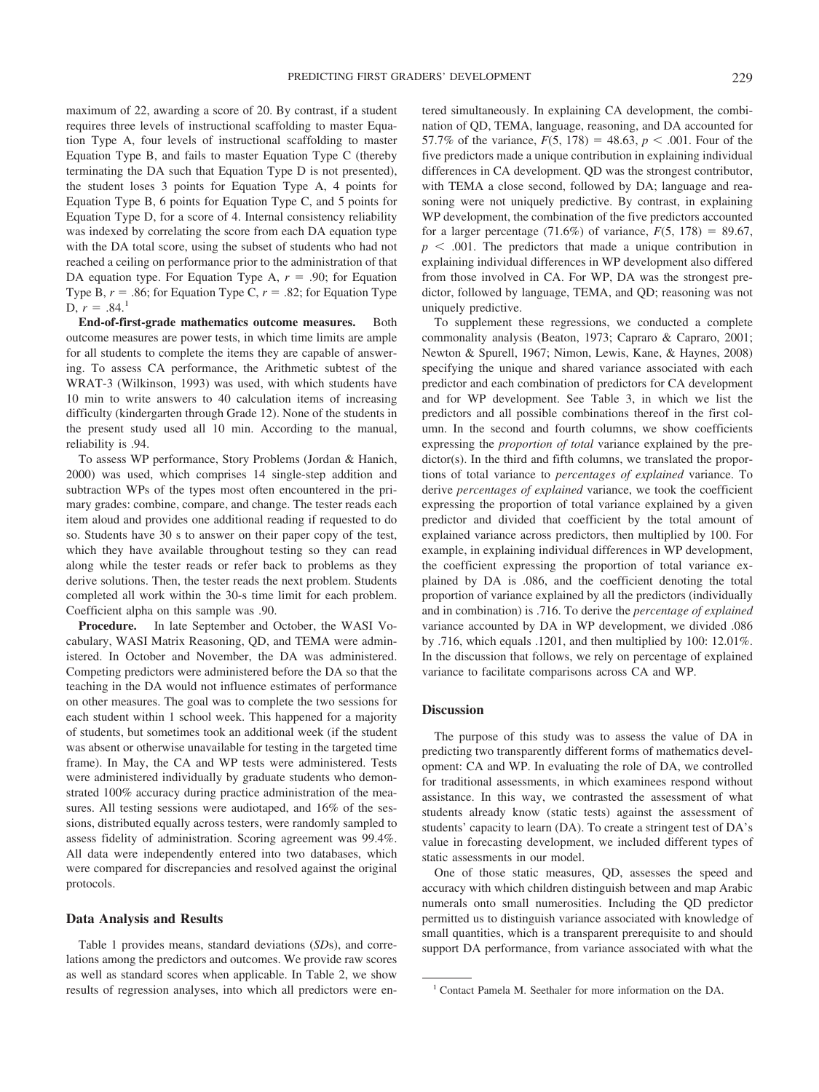maximum of 22, awarding a score of 20. By contrast, if a student requires three levels of instructional scaffolding to master Equation Type A, four levels of instructional scaffolding to master Equation Type B, and fails to master Equation Type C (thereby terminating the DA such that Equation Type D is not presented), the student loses 3 points for Equation Type A, 4 points for Equation Type B, 6 points for Equation Type C, and 5 points for Equation Type D, for a score of 4. Internal consistency reliability was indexed by correlating the score from each DA equation type with the DA total score, using the subset of students who had not reached a ceiling on performance prior to the administration of that DA equation type. For Equation Type A,  $r = .90$ ; for Equation Type B,  $r = .86$ ; for Equation Type C,  $r = .82$ ; for Equation Type D,  $r = .84$ .<sup>1</sup>

**End-of-first-grade mathematics outcome measures.** Both outcome measures are power tests, in which time limits are ample for all students to complete the items they are capable of answering. To assess CA performance, the Arithmetic subtest of the WRAT-3 (Wilkinson, 1993) was used, with which students have 10 min to write answers to 40 calculation items of increasing difficulty (kindergarten through Grade 12). None of the students in the present study used all 10 min. According to the manual, reliability is .94.

To assess WP performance, Story Problems (Jordan & Hanich, 2000) was used, which comprises 14 single-step addition and subtraction WPs of the types most often encountered in the primary grades: combine, compare, and change. The tester reads each item aloud and provides one additional reading if requested to do so. Students have 30 s to answer on their paper copy of the test, which they have available throughout testing so they can read along while the tester reads or refer back to problems as they derive solutions. Then, the tester reads the next problem. Students completed all work within the 30-s time limit for each problem. Coefficient alpha on this sample was .90.

**Procedure.** In late September and October, the WASI Vocabulary, WASI Matrix Reasoning, QD, and TEMA were administered. In October and November, the DA was administered. Competing predictors were administered before the DA so that the teaching in the DA would not influence estimates of performance on other measures. The goal was to complete the two sessions for each student within 1 school week. This happened for a majority of students, but sometimes took an additional week (if the student was absent or otherwise unavailable for testing in the targeted time frame). In May, the CA and WP tests were administered. Tests were administered individually by graduate students who demonstrated 100% accuracy during practice administration of the measures. All testing sessions were audiotaped, and 16% of the sessions, distributed equally across testers, were randomly sampled to assess fidelity of administration. Scoring agreement was 99.4%. All data were independently entered into two databases, which were compared for discrepancies and resolved against the original protocols.

#### **Data Analysis and Results**

Table 1 provides means, standard deviations (*SD*s), and correlations among the predictors and outcomes. We provide raw scores as well as standard scores when applicable. In Table 2, we show results of regression analyses, into which all predictors were entered simultaneously. In explaining CA development, the combination of QD, TEMA, language, reasoning, and DA accounted for 57.7% of the variance,  $F(5, 178) = 48.63$ ,  $p < .001$ . Four of the five predictors made a unique contribution in explaining individual differences in CA development. QD was the strongest contributor, with TEMA a close second, followed by DA; language and reasoning were not uniquely predictive. By contrast, in explaining WP development, the combination of the five predictors accounted for a larger percentage (71.6%) of variance,  $F(5, 178) = 89.67$ ,  $p \leq 0.001$ . The predictors that made a unique contribution in explaining individual differences in WP development also differed from those involved in CA. For WP, DA was the strongest predictor, followed by language, TEMA, and QD; reasoning was not uniquely predictive.

To supplement these regressions, we conducted a complete commonality analysis (Beaton, 1973; Capraro & Capraro, 2001; Newton & Spurell, 1967; Nimon, Lewis, Kane, & Haynes, 2008) specifying the unique and shared variance associated with each predictor and each combination of predictors for CA development and for WP development. See Table 3, in which we list the predictors and all possible combinations thereof in the first column. In the second and fourth columns, we show coefficients expressing the *proportion of total* variance explained by the predictor(s). In the third and fifth columns, we translated the proportions of total variance to *percentages of explained* variance. To derive *percentages of explained* variance, we took the coefficient expressing the proportion of total variance explained by a given predictor and divided that coefficient by the total amount of explained variance across predictors, then multiplied by 100. For example, in explaining individual differences in WP development, the coefficient expressing the proportion of total variance explained by DA is .086, and the coefficient denoting the total proportion of variance explained by all the predictors (individually and in combination) is .716. To derive the *percentage of explained* variance accounted by DA in WP development, we divided .086 by .716, which equals .1201, and then multiplied by 100: 12.01%. In the discussion that follows, we rely on percentage of explained variance to facilitate comparisons across CA and WP.

## **Discussion**

The purpose of this study was to assess the value of DA in predicting two transparently different forms of mathematics development: CA and WP. In evaluating the role of DA, we controlled for traditional assessments, in which examinees respond without assistance. In this way, we contrasted the assessment of what students already know (static tests) against the assessment of students' capacity to learn (DA). To create a stringent test of DA's value in forecasting development, we included different types of static assessments in our model.

One of those static measures, QD, assesses the speed and accuracy with which children distinguish between and map Arabic numerals onto small numerosities. Including the QD predictor permitted us to distinguish variance associated with knowledge of small quantities, which is a transparent prerequisite to and should support DA performance, from variance associated with what the

<sup>&</sup>lt;sup>1</sup> Contact Pamela M. Seethaler for more information on the DA.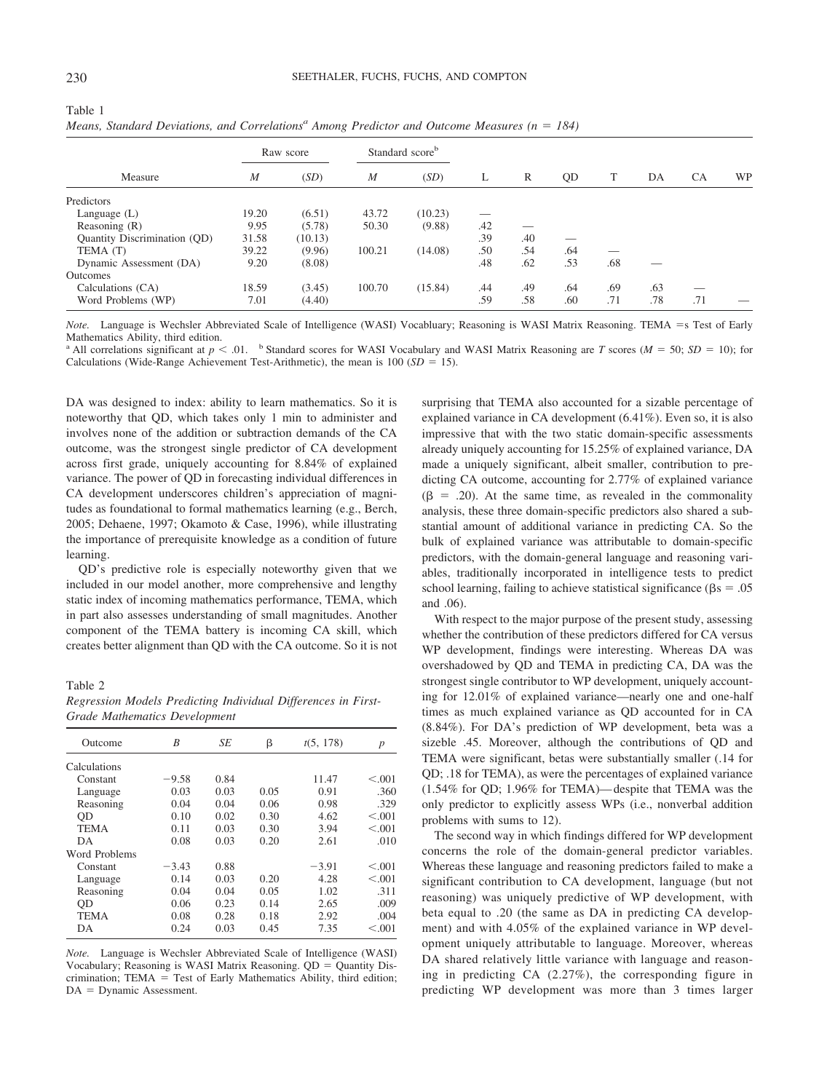Table 1

| Measure                             | Raw score        |         | Standard score <sup>b</sup> |         |     |     |     |     |     |     |    |
|-------------------------------------|------------------|---------|-----------------------------|---------|-----|-----|-----|-----|-----|-----|----|
|                                     | $\boldsymbol{M}$ | (SD)    | $\boldsymbol{M}$            | (SD)    | L   | R   | QD  | T   | DA  | CA  | WP |
| Predictors                          |                  |         |                             |         |     |     |     |     |     |     |    |
| Language $(L)$                      | 19.20            | (6.51)  | 43.72                       | (10.23) |     |     |     |     |     |     |    |
| Reasoning $(R)$                     | 9.95             | (5.78)  | 50.30                       | (9.88)  | .42 |     |     |     |     |     |    |
| <b>Quantity Discrimination (QD)</b> | 31.58            | (10.13) |                             |         | .39 | .40 |     |     |     |     |    |
| TEMA (T)                            | 39.22            | (9.96)  | 100.21                      | (14.08) | .50 | .54 | .64 |     |     |     |    |
| Dynamic Assessment (DA)             | 9.20             | (8.08)  |                             |         | .48 | .62 | .53 | .68 |     |     |    |
| <b>Outcomes</b>                     |                  |         |                             |         |     |     |     |     |     |     |    |
| Calculations (CA)                   | 18.59            | (3.45)  | 100.70                      | (15.84) | .44 | .49 | .64 | .69 | .63 |     |    |
| Word Problems (WP)                  | 7.01             | (4.40)  |                             |         | .59 | .58 | .60 | .71 | .78 | .71 |    |

*Means, Standard Deviations, and Correlations<sup>a</sup> Among Predictor and Outcome Measures (n = 184)* 

Note. Language is Wechsler Abbreviated Scale of Intelligence (WASI) Vocabluary; Reasoning is WASI Matrix Reasoning. TEMA = s Test of Early Mathematics Ability, third edition.

<sup>a</sup> All correlations significant at  $p < .01$ . <sup>b</sup> Standard scores for WASI Vocabulary and WASI Matrix Reasoning are *T* scores ( $M = 50$ ; *SD* = 10); for Calculations (Wide-Range Achievement Test-Arithmetic), the mean is  $100 (SD = 15)$ .

DA was designed to index: ability to learn mathematics. So it is noteworthy that QD, which takes only 1 min to administer and involves none of the addition or subtraction demands of the CA outcome, was the strongest single predictor of CA development across first grade, uniquely accounting for 8.84% of explained variance. The power of QD in forecasting individual differences in CA development underscores children's appreciation of magnitudes as foundational to formal mathematics learning (e.g., Berch, 2005; Dehaene, 1997; Okamoto & Case, 1996), while illustrating the importance of prerequisite knowledge as a condition of future learning.

QD's predictive role is especially noteworthy given that we included in our model another, more comprehensive and lengthy static index of incoming mathematics performance, TEMA, which in part also assesses understanding of small magnitudes. Another component of the TEMA battery is incoming CA skill, which creates better alignment than QD with the CA outcome. So it is not

#### Table 2

*Regression Models Predicting Individual Differences in First-Grade Mathematics Development*

| Outcome       | B       | SE   | β    | t(5, 178) | $\boldsymbol{p}$ |
|---------------|---------|------|------|-----------|------------------|
|               |         |      |      |           |                  |
| Calculations  |         |      |      |           |                  |
| Constant      | $-9.58$ | 0.84 |      | 11.47     | < 0.01           |
| Language      | 0.03    | 0.03 | 0.05 | 0.91      | .360             |
| Reasoning     | 0.04    | 0.04 | 0.06 | 0.98      | .329             |
| <b>OD</b>     | 0.10    | 0.02 | 0.30 | 4.62      | < 0.01           |
| <b>TEMA</b>   | 0.11    | 0.03 | 0.30 | 3.94      | < 0.01           |
| DА            | 0.08    | 0.03 | 0.20 | 2.61      | .010             |
| Word Problems |         |      |      |           |                  |
| Constant      | $-3.43$ | 0.88 |      | $-3.91$   | < 0.01           |
| Language      | 0.14    | 0.03 | 0.20 | 4.28      | < 0.001          |
| Reasoning     | 0.04    | 0.04 | 0.05 | 1.02      | .311             |
| <b>OD</b>     | 0.06    | 0.23 | 0.14 | 2.65      | .009             |
| <b>TEMA</b>   | 0.08    | 0.28 | 0.18 | 2.92      | .004             |
| DА            | 0.24    | 0.03 | 0.45 | 7.35      | < 0.001          |
|               |         |      |      |           |                  |

*Note.* Language is Wechsler Abbreviated Scale of Intelligence (WASI) Vocabulary; Reasoning is WASI Matrix Reasoning.  $QD =$  Quantity Discrimination; TEMA = Test of Early Mathematics Ability, third edition; DA = Dynamic Assessment.

surprising that TEMA also accounted for a sizable percentage of explained variance in CA development (6.41%). Even so, it is also impressive that with the two static domain-specific assessments already uniquely accounting for 15.25% of explained variance, DA made a uniquely significant, albeit smaller, contribution to predicting CA outcome, accounting for 2.77% of explained variance  $(\beta = .20)$ . At the same time, as revealed in the commonality analysis, these three domain-specific predictors also shared a substantial amount of additional variance in predicting CA. So the bulk of explained variance was attributable to domain-specific predictors, with the domain-general language and reasoning variables, traditionally incorporated in intelligence tests to predict school learning, failing to achieve statistical significance ( $\beta$ s = .05 and .06).

With respect to the major purpose of the present study, assessing whether the contribution of these predictors differed for CA versus WP development, findings were interesting. Whereas DA was overshadowed by QD and TEMA in predicting CA, DA was the strongest single contributor to WP development, uniquely accounting for 12.01% of explained variance—nearly one and one-half times as much explained variance as QD accounted for in CA (8.84%). For DA's prediction of WP development, beta was a sizeble .45. Moreover, although the contributions of QD and TEMA were significant, betas were substantially smaller (.14 for QD; .18 for TEMA), as were the percentages of explained variance (1.54% for QD; 1.96% for TEMA)— despite that TEMA was the only predictor to explicitly assess WPs (i.e., nonverbal addition problems with sums to 12).

The second way in which findings differed for WP development concerns the role of the domain-general predictor variables. Whereas these language and reasoning predictors failed to make a significant contribution to CA development, language (but not reasoning) was uniquely predictive of WP development, with beta equal to .20 (the same as DA in predicting CA development) and with 4.05% of the explained variance in WP development uniquely attributable to language. Moreover, whereas DA shared relatively little variance with language and reasoning in predicting CA (2.27%), the corresponding figure in predicting WP development was more than 3 times larger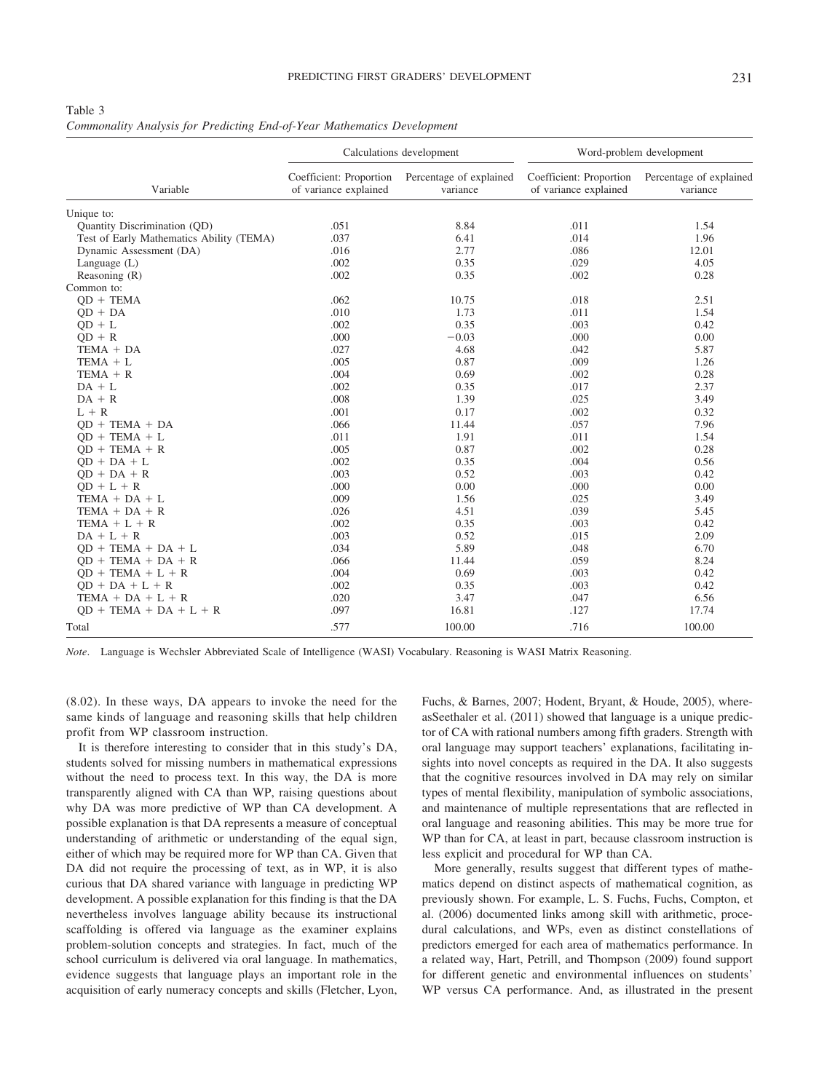| Table 3                                                                 |  |  |
|-------------------------------------------------------------------------|--|--|
| Commonality Analysis for Predicting End-of-Year Mathematics Development |  |  |

|                                          |                                                  | Calculations development            | Word-problem development                         |                                     |  |
|------------------------------------------|--------------------------------------------------|-------------------------------------|--------------------------------------------------|-------------------------------------|--|
| Variable                                 | Coefficient: Proportion<br>of variance explained | Percentage of explained<br>variance | Coefficient: Proportion<br>of variance explained | Percentage of explained<br>variance |  |
| Unique to:                               |                                                  |                                     |                                                  |                                     |  |
| Quantity Discrimination (QD)             | .051                                             | 8.84                                | .011                                             | 1.54                                |  |
| Test of Early Mathematics Ability (TEMA) | .037                                             | 6.41                                | .014                                             | 1.96                                |  |
| Dynamic Assessment (DA)                  | .016                                             | 2.77                                | .086                                             | 12.01                               |  |
| Language $(L)$                           | .002                                             | 0.35                                | .029                                             | 4.05                                |  |
| Reasoning $(R)$                          | .002                                             | 0.35                                | .002                                             | 0.28                                |  |
| Common to:                               |                                                  |                                     |                                                  |                                     |  |
| $OD + TEMA$                              | .062                                             | 10.75                               | .018                                             | 2.51                                |  |
| $QD + DA$                                | .010                                             | 1.73                                | .011                                             | 1.54                                |  |
| $OD + L$                                 | .002                                             | 0.35                                | .003                                             | 0.42                                |  |
| $QD + R$                                 | .000                                             | $-0.03$                             | .000                                             | 0.00                                |  |
| TEMA + DA                                | .027                                             | 4.68                                | .042                                             | 5.87                                |  |
| $TEMA + L$                               | .005                                             | 0.87                                | .009                                             | 1.26                                |  |
| $TEMA + R$                               | .004                                             | 0.69                                | .002                                             | 0.28                                |  |
| $DA + L$                                 | .002                                             | 0.35                                | .017                                             | 2.37                                |  |
| $DA + R$                                 | .008                                             | 1.39                                | .025                                             | 3.49                                |  |
| $L + R$                                  | .001                                             | 0.17                                | .002                                             | 0.32                                |  |
| $QD + TEMA + DA$                         | .066                                             | 11.44                               | .057                                             | 7.96                                |  |
| $QD + TEMA + L$                          | .011                                             | 1.91                                | .011                                             | 1.54                                |  |
| $OD + TEMA + R$                          | .005                                             | 0.87                                | .002                                             | 0.28                                |  |
| $OD + DA + L$                            | .002                                             | 0.35                                | .004                                             | 0.56                                |  |
| $QD + DA + R$                            | .003                                             | 0.52                                | .003                                             | 0.42                                |  |
| $OD + L + R$                             | .000                                             | 0.00                                | .000                                             | 0.00                                |  |
| $TEMA + DA + L$                          | .009                                             | 1.56                                | .025                                             | 3.49                                |  |
| $TEMA + DA + R$                          | .026                                             | 4.51                                | .039                                             | 5.45                                |  |
| $TEMA + L + R$                           | .002                                             | 0.35                                | .003                                             | 0.42                                |  |
| $DA + L + R$                             | .003                                             | 0.52                                | .015                                             | 2.09                                |  |
| $OD + TEMA + DA + L$                     | .034                                             | 5.89                                | .048                                             | 6.70                                |  |
| $QD + TEMA + DA + R$                     | .066                                             | 11.44                               | .059                                             | 8.24                                |  |
| $QD + TEMA + L + R$                      | .004                                             | 0.69                                | .003                                             | 0.42                                |  |
| $QD + DA + L + R$                        | .002                                             | 0.35                                | .003                                             | 0.42                                |  |
| $TEMA + DA + L + R$                      | .020                                             | 3.47                                | .047                                             | 6.56                                |  |
| $QD + TEMA + DA + L + R$                 | .097                                             | 16.81                               | .127                                             | 17.74                               |  |
| Total                                    | .577                                             | 100.00                              | .716                                             | 100.00                              |  |

*Note*. Language is Wechsler Abbreviated Scale of Intelligence (WASI) Vocabulary. Reasoning is WASI Matrix Reasoning.

(8.02). In these ways, DA appears to invoke the need for the same kinds of language and reasoning skills that help children profit from WP classroom instruction.

It is therefore interesting to consider that in this study's DA, students solved for missing numbers in mathematical expressions without the need to process text. In this way, the DA is more transparently aligned with CA than WP, raising questions about why DA was more predictive of WP than CA development. A possible explanation is that DA represents a measure of conceptual understanding of arithmetic or understanding of the equal sign, either of which may be required more for WP than CA. Given that DA did not require the processing of text, as in WP, it is also curious that DA shared variance with language in predicting WP development. A possible explanation for this finding is that the DA nevertheless involves language ability because its instructional scaffolding is offered via language as the examiner explains problem-solution concepts and strategies. In fact, much of the school curriculum is delivered via oral language. In mathematics, evidence suggests that language plays an important role in the acquisition of early numeracy concepts and skills (Fletcher, Lyon,

Fuchs, & Barnes, 2007; Hodent, Bryant, & Houde, 2005), whereasSeethaler et al. (2011) showed that language is a unique predictor of CA with rational numbers among fifth graders. Strength with oral language may support teachers' explanations, facilitating insights into novel concepts as required in the DA. It also suggests that the cognitive resources involved in DA may rely on similar types of mental flexibility, manipulation of symbolic associations, and maintenance of multiple representations that are reflected in oral language and reasoning abilities. This may be more true for WP than for CA, at least in part, because classroom instruction is less explicit and procedural for WP than CA.

More generally, results suggest that different types of mathematics depend on distinct aspects of mathematical cognition, as previously shown. For example, L. S. Fuchs, Fuchs, Compton, et al. (2006) documented links among skill with arithmetic, procedural calculations, and WPs, even as distinct constellations of predictors emerged for each area of mathematics performance. In a related way, Hart, Petrill, and Thompson (2009) found support for different genetic and environmental influences on students' WP versus CA performance. And, as illustrated in the present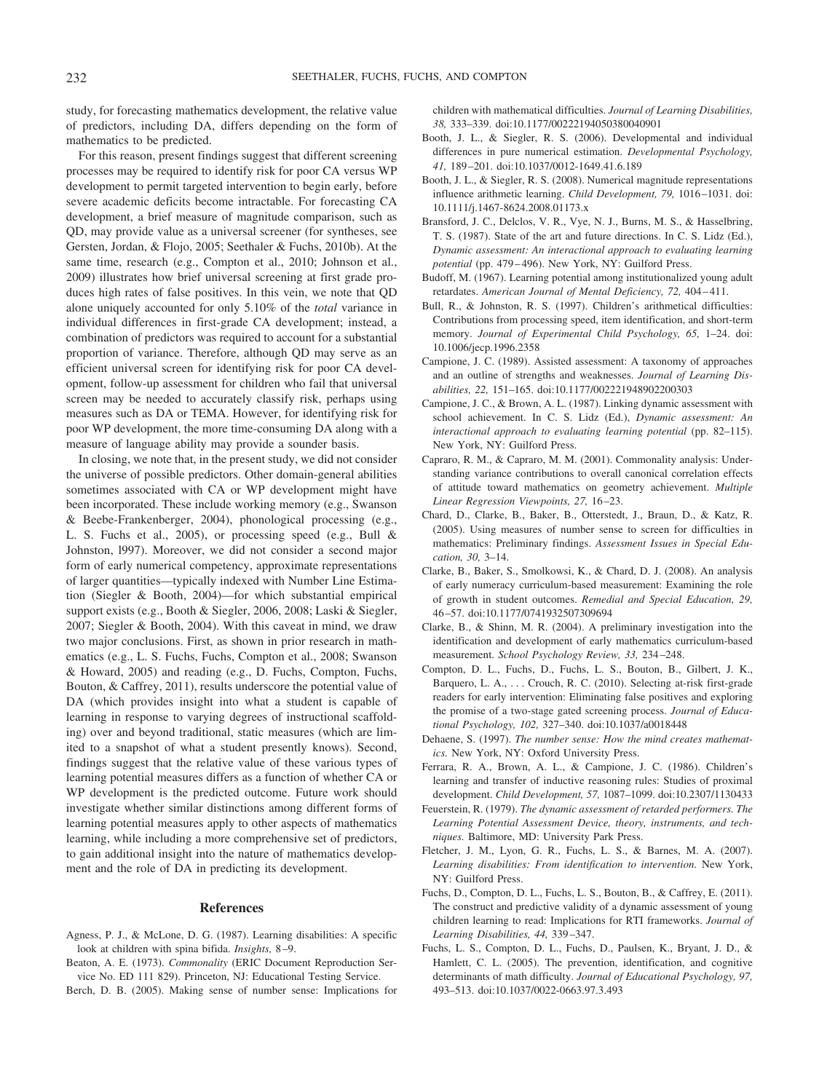study, for forecasting mathematics development, the relative value of predictors, including DA, differs depending on the form of mathematics to be predicted.

For this reason, present findings suggest that different screening processes may be required to identify risk for poor CA versus WP development to permit targeted intervention to begin early, before severe academic deficits become intractable. For forecasting CA development, a brief measure of magnitude comparison, such as QD, may provide value as a universal screener (for syntheses, see Gersten, Jordan, & Flojo, 2005; Seethaler & Fuchs, 2010b). At the same time, research (e.g., Compton et al., 2010; Johnson et al., 2009) illustrates how brief universal screening at first grade produces high rates of false positives. In this vein, we note that QD alone uniquely accounted for only 5.10% of the *total* variance in individual differences in first-grade CA development; instead, a combination of predictors was required to account for a substantial proportion of variance. Therefore, although QD may serve as an efficient universal screen for identifying risk for poor CA development, follow-up assessment for children who fail that universal screen may be needed to accurately classify risk, perhaps using measures such as DA or TEMA. However, for identifying risk for poor WP development, the more time-consuming DA along with a measure of language ability may provide a sounder basis.

In closing, we note that, in the present study, we did not consider the universe of possible predictors. Other domain-general abilities sometimes associated with CA or WP development might have been incorporated. These include working memory (e.g., Swanson & Beebe-Frankenberger, 2004), phonological processing (e.g., L. S. Fuchs et al., 2005), or processing speed (e.g., Bull & Johnston, l997). Moreover, we did not consider a second major form of early numerical competency, approximate representations of larger quantities—typically indexed with Number Line Estimation (Siegler & Booth, 2004)—for which substantial empirical support exists (e.g., Booth & Siegler, 2006, 2008; Laski & Siegler, 2007; Siegler & Booth, 2004). With this caveat in mind, we draw two major conclusions. First, as shown in prior research in mathematics (e.g., L. S. Fuchs, Fuchs, Compton et al., 2008; Swanson & Howard, 2005) and reading (e.g., D. Fuchs, Compton, Fuchs, Bouton, & Caffrey, 2011), results underscore the potential value of DA (which provides insight into what a student is capable of learning in response to varying degrees of instructional scaffolding) over and beyond traditional, static measures (which are limited to a snapshot of what a student presently knows). Second, findings suggest that the relative value of these various types of learning potential measures differs as a function of whether CA or WP development is the predicted outcome. Future work should investigate whether similar distinctions among different forms of learning potential measures apply to other aspects of mathematics learning, while including a more comprehensive set of predictors, to gain additional insight into the nature of mathematics development and the role of DA in predicting its development.

#### **References**

- Agness, P. J., & McLone, D. G. (1987). Learning disabilities: A specific look at children with spina bifida. *Insights,* 8 –9.
- Beaton, A. E. (1973). *Commonality* (ERIC Document Reproduction Service No. ED 111 829). Princeton, NJ: Educational Testing Service.

Berch, D. B. (2005). Making sense of number sense: Implications for

children with mathematical difficulties. *Journal of Learning Disabilities, 38,* 333–339. doi:10.1177/00222194050380040901

- Booth, J. L., & Siegler, R. S. (2006). Developmental and individual differences in pure numerical estimation. *Developmental Psychology, 41,* 189 –201. doi:10.1037/0012-1649.41.6.189
- Booth, J. L., & Siegler, R. S. (2008). Numerical magnitude representations influence arithmetic learning. *Child Development, 79,* 1016 –1031. doi: 10.1111/j.1467-8624.2008.01173.x
- Bransford, J. C., Delclos, V. R., Vye, N. J., Burns, M. S., & Hasselbring, T. S. (1987). State of the art and future directions. In C. S. Lidz (Ed.), *Dynamic assessment: An interactional approach to evaluating learning potential* (pp. 479 – 496). New York, NY: Guilford Press.
- Budoff, M. (1967). Learning potential among institutionalized young adult retardates. American Journal of Mental Deficiency, 72, 404-411.
- Bull, R., & Johnston, R. S. (1997). Children's arithmetical difficulties: Contributions from processing speed, item identification, and short-term memory. *Journal of Experimental Child Psychology, 65,* 1–24. doi: 10.1006/jecp.1996.2358
- Campione, J. C. (1989). Assisted assessment: A taxonomy of approaches and an outline of strengths and weaknesses. *Journal of Learning Disabilities, 22,* 151–165. doi:10.1177/002221948902200303
- Campione, J. C., & Brown, A. L. (1987). Linking dynamic assessment with school achievement. In C. S. Lidz (Ed.), *Dynamic assessment: An interactional approach to evaluating learning potential* (pp. 82–115). New York, NY: Guilford Press.
- Capraro, R. M., & Capraro, M. M. (2001). Commonality analysis: Understanding variance contributions to overall canonical correlation effects of attitude toward mathematics on geometry achievement. *Multiple Linear Regression Viewpoints, 27,* 16 –23.
- Chard, D., Clarke, B., Baker, B., Otterstedt, J., Braun, D., & Katz, R. (2005). Using measures of number sense to screen for difficulties in mathematics: Preliminary findings. *Assessment Issues in Special Education, 30,* 3–14.
- Clarke, B., Baker, S., Smolkowsi, K., & Chard, D. J. (2008). An analysis of early numeracy curriculum-based measurement: Examining the role of growth in student outcomes. *Remedial and Special Education, 29,* 46 –57. doi:10.1177/0741932507309694
- Clarke, B., & Shinn, M. R. (2004). A preliminary investigation into the identification and development of early mathematics curriculum-based measurement. *School Psychology Review, 33,* 234 –248.
- Compton, D. L., Fuchs, D., Fuchs, L. S., Bouton, B., Gilbert, J. K., Barquero, L. A., . . . Crouch, R. C. (2010). Selecting at-risk first-grade readers for early intervention: Eliminating false positives and exploring the promise of a two-stage gated screening process. *Journal of Educational Psychology, 102,* 327–340. doi:10.1037/a0018448
- Dehaene, S. (1997). *The number sense: How the mind creates mathematics.* New York, NY: Oxford University Press.
- Ferrara, R. A., Brown, A. L., & Campione, J. C. (1986). Children's learning and transfer of inductive reasoning rules: Studies of proximal development. *Child Development, 57,* 1087–1099. doi:10.2307/1130433
- Feuerstein, R. (1979). *The dynamic assessment of retarded performers. The Learning Potential Assessment Device, theory, instruments, and techniques.* Baltimore, MD: University Park Press.
- Fletcher, J. M., Lyon, G. R., Fuchs, L. S., & Barnes, M. A. (2007). *Learning disabilities: From identification to intervention.* New York, NY: Guilford Press.
- Fuchs, D., Compton, D. L., Fuchs, L. S., Bouton, B., & Caffrey, E. (2011). The construct and predictive validity of a dynamic assessment of young children learning to read: Implications for RTI frameworks. *Journal of Learning Disabilities, 44,* 339 –347.
- Fuchs, L. S., Compton, D. L., Fuchs, D., Paulsen, K., Bryant, J. D., & Hamlett, C. L. (2005). The prevention, identification, and cognitive determinants of math difficulty. *Journal of Educational Psychology, 97,* 493–513. doi:10.1037/0022-0663.97.3.493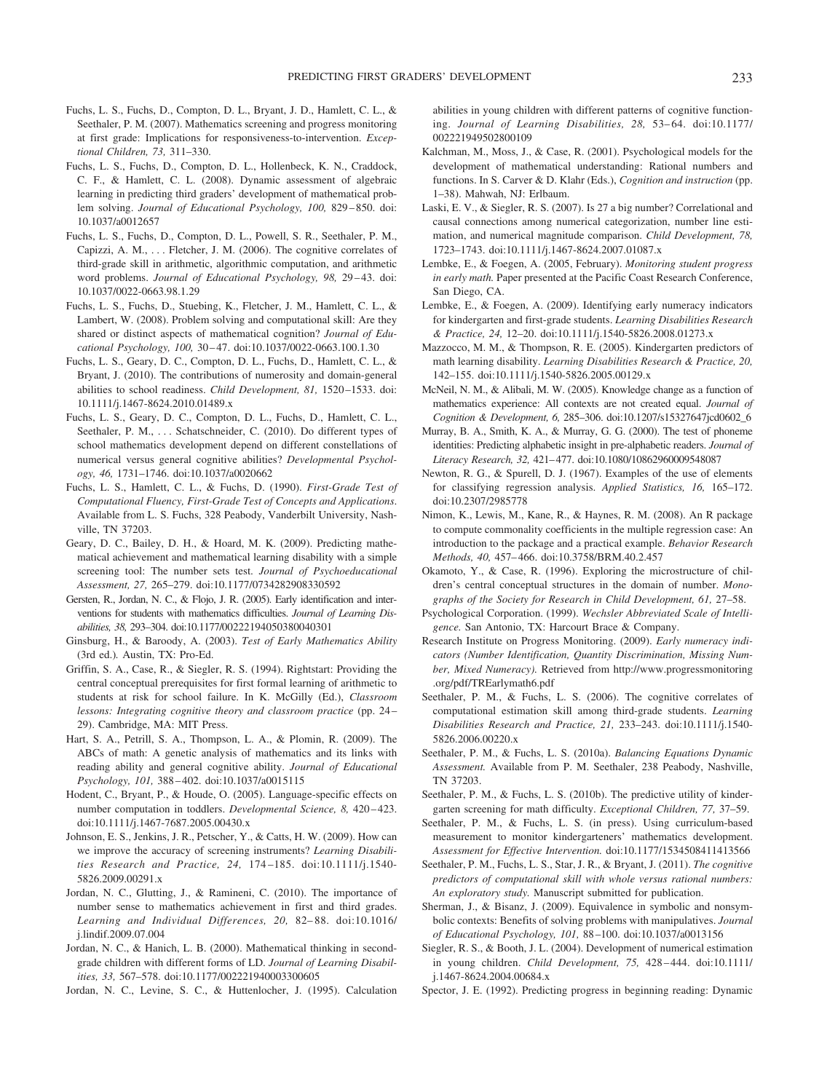- Fuchs, L. S., Fuchs, D., Compton, D. L., Bryant, J. D., Hamlett, C. L., & Seethaler, P. M. (2007). Mathematics screening and progress monitoring at first grade: Implications for responsiveness-to-intervention. *Exceptional Children, 73,* 311–330.
- Fuchs, L. S., Fuchs, D., Compton, D. L., Hollenbeck, K. N., Craddock, C. F., & Hamlett, C. L. (2008). Dynamic assessment of algebraic learning in predicting third graders' development of mathematical problem solving. *Journal of Educational Psychology, 100,* 829–850. doi: 10.1037/a0012657
- Fuchs, L. S., Fuchs, D., Compton, D. L., Powell, S. R., Seethaler, P. M., Capizzi, A. M., . . . Fletcher, J. M. (2006). The cognitive correlates of third-grade skill in arithmetic, algorithmic computation, and arithmetic word problems. *Journal of Educational Psychology*, 98, 29-43. doi: 10.1037/0022-0663.98.1.29
- Fuchs, L. S., Fuchs, D., Stuebing, K., Fletcher, J. M., Hamlett, C. L., & Lambert, W. (2008). Problem solving and computational skill: Are they shared or distinct aspects of mathematical cognition? *Journal of Educational Psychology, 100,* 30 – 47. doi:10.1037/0022-0663.100.1.30
- Fuchs, L. S., Geary, D. C., Compton, D. L., Fuchs, D., Hamlett, C. L., & Bryant, J. (2010). The contributions of numerosity and domain-general abilities to school readiness. *Child Development, 81,* 1520 –1533. doi: 10.1111/j.1467-8624.2010.01489.x
- Fuchs, L. S., Geary, D. C., Compton, D. L., Fuchs, D., Hamlett, C. L., Seethaler, P. M., ... Schatschneider, C. (2010). Do different types of school mathematics development depend on different constellations of numerical versus general cognitive abilities? *Developmental Psychology, 46,* 1731–1746. doi:10.1037/a0020662
- Fuchs, L. S., Hamlett, C. L., & Fuchs, D. (1990). *First-Grade Test of Computational Fluency, First-Grade Test of Concepts and Applications*. Available from L. S. Fuchs, 328 Peabody, Vanderbilt University, Nashville, TN 37203.
- Geary, D. C., Bailey, D. H., & Hoard, M. K. (2009). Predicting mathematical achievement and mathematical learning disability with a simple screening tool: The number sets test. *Journal of Psychoeducational Assessment, 27,* 265–279. doi:10.1177/0734282908330592
- Gersten, R., Jordan, N. C., & Flojo, J. R. (2005). Early identification and interventions for students with mathematics difficulties. *Journal of Learning Disabilities, 38,* 293–304. doi:10.1177/00222194050380040301
- Ginsburg, H., & Baroody, A. (2003). *Test of Early Mathematics Ability* (3rd ed.)*.* Austin, TX: Pro-Ed.
- Griffin, S. A., Case, R., & Siegler, R. S. (1994). Rightstart: Providing the central conceptual prerequisites for first formal learning of arithmetic to students at risk for school failure. In K. McGilly (Ed.), *Classroom lessons: Integrating cognitive theory and classroom practice* (pp. 24 – 29). Cambridge, MA: MIT Press.
- Hart, S. A., Petrill, S. A., Thompson, L. A., & Plomin, R. (2009). The ABCs of math: A genetic analysis of mathematics and its links with reading ability and general cognitive ability. *Journal of Educational Psychology, 101,* 388 – 402. doi:10.1037/a0015115
- Hodent, C., Bryant, P., & Houde, O. (2005). Language-specific effects on number computation in toddlers. *Developmental Science, 8,* 420 – 423. doi:10.1111/j.1467-7687.2005.00430.x
- Johnson, E. S., Jenkins, J. R., Petscher, Y., & Catts, H. W. (2009). How can we improve the accuracy of screening instruments? *Learning Disabilities Research and Practice, 24,* 174 –185. doi:10.1111/j.1540- 5826.2009.00291.x
- Jordan, N. C., Glutting, J., & Ramineni, C. (2010). The importance of number sense to mathematics achievement in first and third grades. *Learning and Individual Differences, 20,* 82– 88. doi:10.1016/ j.lindif.2009.07.004
- Jordan, N. C., & Hanich, L. B. (2000). Mathematical thinking in secondgrade children with different forms of LD. *Journal of Learning Disabilities, 33,* 567–578. doi:10.1177/002221940003300605
- Jordan, N. C., Levine, S. C., & Huttenlocher, J. (1995). Calculation

abilities in young children with different patterns of cognitive functioning. *Journal of Learning Disabilities, 28,* 53– 64. doi:10.1177/ 002221949502800109

- Kalchman, M., Moss, J., & Case, R. (2001). Psychological models for the development of mathematical understanding: Rational numbers and functions. In S. Carver & D. Klahr (Eds.), *Cognition and instruction* (pp. 1–38). Mahwah, NJ: Erlbaum.
- Laski, E. V., & Siegler, R. S. (2007). Is 27 a big number? Correlational and causal connections among numerical categorization, number line estimation, and numerical magnitude comparison. *Child Development, 78,* 1723–1743. doi:10.1111/j.1467-8624.2007.01087.x
- Lembke, E., & Foegen, A. (2005, February). *Monitoring student progress in early math.* Paper presented at the Pacific Coast Research Conference, San Diego, CA.
- Lembke, E., & Foegen, A. (2009). Identifying early numeracy indicators for kindergarten and first-grade students. *Learning Disabilities Research & Practice, 24,* 12–20. doi:10.1111/j.1540-5826.2008.01273.x
- Mazzocco, M. M., & Thompson, R. E. (2005). Kindergarten predictors of math learning disability. *Learning Disabilities Research & Practice, 20,* 142–155. doi:10.1111/j.1540-5826.2005.00129.x
- McNeil, N. M., & Alibali, M. W. (2005). Knowledge change as a function of mathematics experience: All contexts are not created equal. *Journal of Cognition & Development, 6,* 285–306. doi:10.1207/s15327647jcd0602\_6
- Murray, B. A., Smith, K. A., & Murray, G. G. (2000). The test of phoneme identities: Predicting alphabetic insight in pre-alphabetic readers. *Journal of Literacy Research, 32,* 421– 477. doi:10.1080/10862960009548087
- Newton, R. G., & Spurell, D. J. (1967). Examples of the use of elements for classifying regression analysis. *Applied Statistics, 16,* 165–172. doi:10.2307/2985778
- Nimon, K., Lewis, M., Kane, R., & Haynes, R. M. (2008). An R package to compute commonality coefficients in the multiple regression case: An introduction to the package and a practical example. *Behavior Research Methods, 40,* 457– 466. doi:10.3758/BRM.40.2.457
- Okamoto, Y., & Case, R. (1996). Exploring the microstructure of children's central conceptual structures in the domain of number. *Monographs of the Society for Research in Child Development, 61,* 27–58.
- Psychological Corporation. (1999). *Wechsler Abbreviated Scale of Intelligence.* San Antonio, TX: Harcourt Brace & Company.
- Research Institute on Progress Monitoring. (2009). *Early numeracy indicators (Number Identification, Quantity Discrimination, Missing Number, Mixed Numeracy).* Retrieved from http://www.progressmonitoring .org/pdf/TREarlymath6.pdf
- Seethaler, P. M., & Fuchs, L. S. (2006). The cognitive correlates of computational estimation skill among third-grade students. *Learning Disabilities Research and Practice, 21,* 233–243. doi:10.1111/j.1540- 5826.2006.00220.x
- Seethaler, P. M., & Fuchs, L. S. (2010a). *Balancing Equations Dynamic Assessment.* Available from P. M. Seethaler, 238 Peabody, Nashville, TN 37203.
- Seethaler, P. M., & Fuchs, L. S. (2010b). The predictive utility of kindergarten screening for math difficulty. *Exceptional Children, 77,* 37–59.
- Seethaler, P. M., & Fuchs, L. S. (in press). Using curriculum-based measurement to monitor kindergarteners' mathematics development. *Assessment for Effective Intervention.* doi:10.1177/1534508411413566
- Seethaler, P. M., Fuchs, L. S., Star, J. R., & Bryant, J. (2011). *The cognitive predictors of computational skill with whole versus rational numbers: An exploratory study.* Manuscript submitted for publication.
- Sherman, J., & Bisanz, J. (2009). Equivalence in symbolic and nonsymbolic contexts: Benefits of solving problems with manipulatives. *Journal of Educational Psychology, 101,* 88 –100. doi:10.1037/a0013156
- Siegler, R. S., & Booth, J. L. (2004). Development of numerical estimation in young children. *Child Development, 75,* 428 – 444. doi:10.1111/ j.1467-8624.2004.00684.x
- Spector, J. E. (1992). Predicting progress in beginning reading: Dynamic